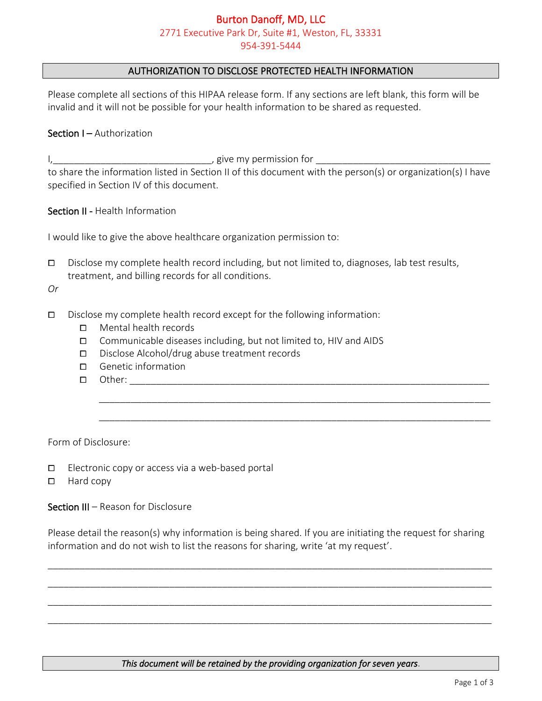## Burton Danoff, MD, LLC 2771 Executive Park Dr, Suite #1, Weston, FL, 33331 954-391-5444

### AUTHORIZATION TO DISCLOSE PROTECTED HEALTH INFORMATION

Please complete all sections of this HIPAA release form. If any sections are left blank, this form will be invalid and it will not be possible for your health information to be shared as requested.

#### Section I – Authorization

I,\_\_\_\_\_\_\_\_\_\_\_\_\_\_\_\_\_\_\_\_\_\_\_\_\_\_\_\_\_\_, give my permission for \_\_\_\_\_\_\_\_\_\_\_\_\_\_\_\_\_\_\_\_\_\_\_\_\_\_\_\_\_\_\_\_\_ to share the information listed in Section II of this document with the person(s) or organization(s) I have specified in Section IV of this document.

Section II - Health Information

I would like to give the above healthcare organization permission to:

 $\square$  Disclose my complete health record including, but not limited to, diagnoses, lab test results, treatment, and billing records for all conditions.

*Or*

- $\square$  Disclose my complete health record except for the following information:
	- □ Mental health records
	- $\Box$  Communicable diseases including, but not limited to, HIV and AIDS
	- ⧠ Disclose Alcohol/drug abuse treatment records
	- □ Genetic information
	- $\Box$  Other:

Form of Disclosure:

- $\Box$  Electronic copy or access via a web-based portal
- ⧠ Hard copy

Section III – Reason for Disclosure

Please detail the reason(s) why information is being shared. If you are initiating the request for sharing information and do not wish to list the reasons for sharing, write 'at my request'.

\_\_\_\_\_\_\_\_\_\_\_\_\_\_\_\_\_\_\_\_\_\_\_\_\_\_\_\_\_\_\_\_\_\_\_\_\_\_\_\_\_\_\_\_\_\_\_\_\_\_\_\_\_\_\_\_\_\_\_\_\_\_\_\_\_\_\_\_\_\_\_\_\_\_\_\_\_\_\_\_\_\_\_\_

\_\_\_\_\_\_\_\_\_\_\_\_\_\_\_\_\_\_\_\_\_\_\_\_\_\_\_\_\_\_\_\_\_\_\_\_\_\_\_\_\_\_\_\_\_\_\_\_\_\_\_\_\_\_\_\_\_\_\_\_\_\_\_\_\_\_\_\_\_\_\_\_\_\_\_\_\_\_\_\_\_\_\_\_

\_\_\_\_\_\_\_\_\_\_\_\_\_\_\_\_\_\_\_\_\_\_\_\_\_\_\_\_\_\_\_\_\_\_\_\_\_\_\_\_\_\_\_\_\_\_\_\_\_\_\_\_\_\_\_\_\_\_\_\_\_\_\_\_\_\_\_\_\_\_\_\_\_\_\_\_\_\_\_\_\_\_\_\_

\_\_\_\_\_\_\_\_\_\_\_\_\_\_\_\_\_\_\_\_\_\_\_\_\_\_\_\_\_\_\_\_\_\_\_\_\_\_\_\_\_\_\_\_\_\_\_\_\_\_\_\_\_\_\_\_\_\_\_\_\_\_\_\_\_\_\_\_\_\_\_\_\_\_\_\_\_\_\_\_\_\_\_\_

\_\_\_\_\_\_\_\_\_\_\_\_\_\_\_\_\_\_\_\_\_\_\_\_\_\_\_\_\_\_\_\_\_\_\_\_\_\_\_\_\_\_\_\_\_\_\_\_\_\_\_\_\_\_\_\_\_\_\_\_\_\_\_\_\_\_\_\_\_\_\_\_\_\_

\_\_\_\_\_\_\_\_\_\_\_\_\_\_\_\_\_\_\_\_\_\_\_\_\_\_\_\_\_\_\_\_\_\_\_\_\_\_\_\_\_\_\_\_\_\_\_\_\_\_\_\_\_\_\_\_\_\_\_\_\_\_\_\_\_\_\_\_\_\_\_\_\_\_

*This document will be retained by the providing organization for seven years*.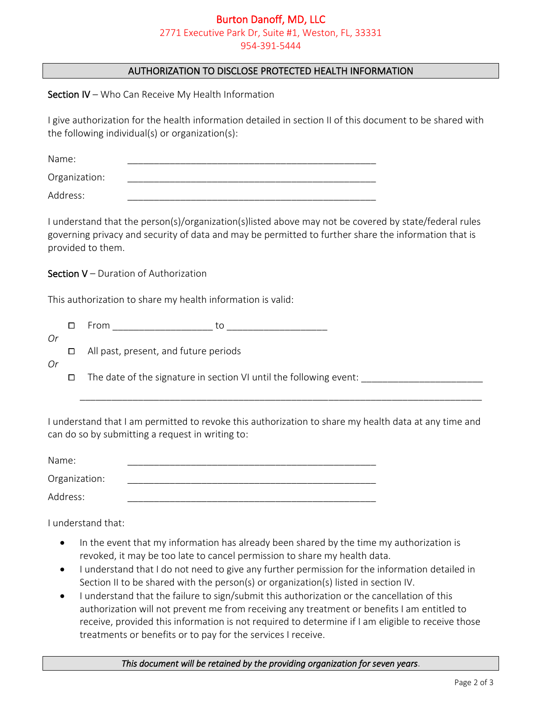## Burton Danoff, MD, LLC 2771 Executive Park Dr, Suite #1, Weston, FL, 33331 954-391-5444

## AUTHORIZATION TO DISCLOSE PROTECTED HEALTH INFORMATION

Section IV – Who Can Receive My Health Information

I give authorization for the health information detailed in section II of this document to be shared with the following individual(s) or organization(s):

| Name:         |  |
|---------------|--|
| Organization: |  |
| Address:      |  |

I understand that the person(s)/organization(s)listed above may not be covered by state/federal rules governing privacy and security of data and may be permitted to further share the information that is provided to them.

### Section V – Duration of Authorization

This authorization to share my health information is valid:

|--|--|--|

⧠ All past, present, and future periods

*Or*

*Or*

 $\Box$  The date of the signature in section VI until the following event:

I understand that I am permitted to revoke this authorization to share my health data at any time and can do so by submitting a request in writing to:

\_\_\_\_\_\_\_\_\_\_\_\_\_\_\_\_\_\_\_\_\_\_\_\_\_\_\_\_\_\_\_\_\_\_\_\_\_\_\_\_\_\_\_\_\_\_\_\_\_\_\_\_\_\_\_\_\_\_\_\_\_\_\_\_\_\_\_\_\_\_\_\_\_\_\_\_

| Name:         |  |
|---------------|--|
| Organization: |  |
| Address:      |  |

I understand that:

- In the event that my information has already been shared by the time my authorization is revoked, it may be too late to cancel permission to share my health data.
- I understand that I do not need to give any further permission for the information detailed in Section II to be shared with the person(s) or organization(s) listed in section IV.
- I understand that the failure to sign/submit this authorization or the cancellation of this authorization will not prevent me from receiving any treatment or benefits I am entitled to receive, provided this information is not required to determine if I am eligible to receive those treatments or benefits or to pay for the services I receive.